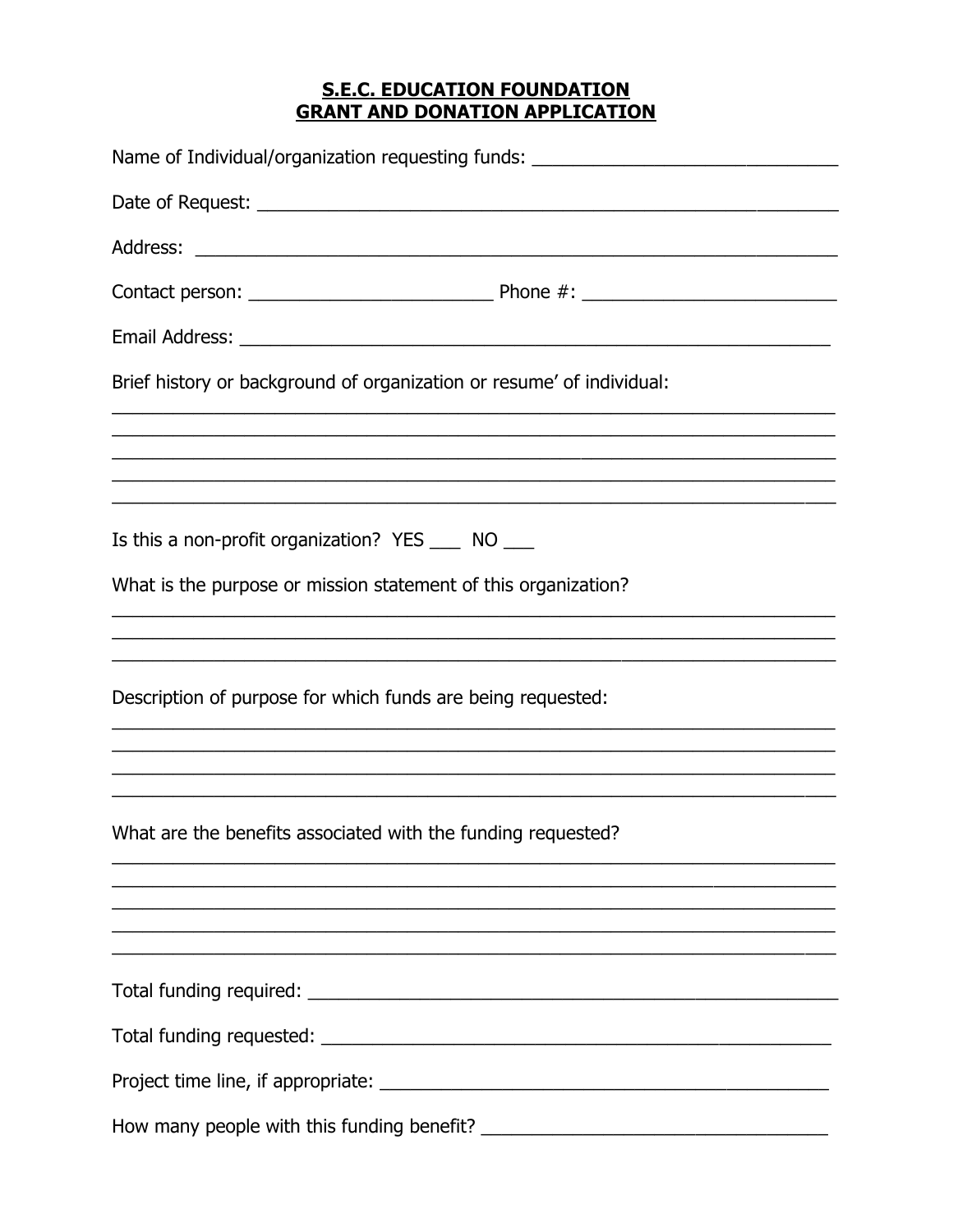## **S.E.C. EDUCATION FOUNDATION GRANT AND DONATION APPLICATION**

| Name of Individual/organization requesting funds: ______________________________                                                                                            |
|-----------------------------------------------------------------------------------------------------------------------------------------------------------------------------|
|                                                                                                                                                                             |
|                                                                                                                                                                             |
|                                                                                                                                                                             |
|                                                                                                                                                                             |
| Brief history or background of organization or resume' of individual:                                                                                                       |
| ,我们也不能会在这里的人,我们也不能会在这里,我们也不能会在这里,我们也不能会在这里,我们也不能会在这里,我们也不能会不能会不能会。""我们的人,我们也不能会不                                                                                            |
| <u> 1989 - Johann Harry Harry Harry Harry Harry Harry Harry Harry Harry Harry Harry Harry Harry Harry Harry Harry</u><br>Is this a non-profit organization? YES ____ NO ___ |
| What is the purpose or mission statement of this organization?                                                                                                              |
| ,我们也不能在这里的时候,我们也不能在这里的时候,我们也不能不能不能不能不能不能不能不能不能不能。""我们的人们也不能不能不能不能不能不能不能不能不能不能不能不                                                                                            |
| Description of purpose for which funds are being requested:                                                                                                                 |
| <u> 1989 - Jan Barat, Amerikaansk politik (d. 1989)</u>                                                                                                                     |
| What are the benefits associated with the funding requested?                                                                                                                |
| ,我们也不能在这里的时候,我们也不能在这里的时候,我们也不能在这里的时候,我们也不能会在这里的时候,我们也不能会在这里的时候,我们也不能会在这里的时候,我们也不                                                                                            |
|                                                                                                                                                                             |
|                                                                                                                                                                             |
|                                                                                                                                                                             |
|                                                                                                                                                                             |